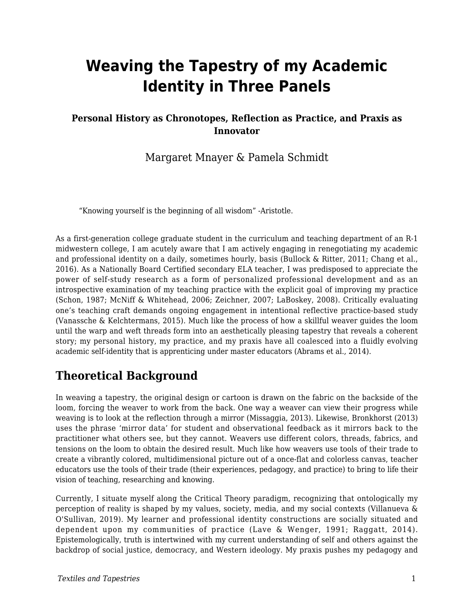# **Weaving the Tapestry of my Academic Identity in Three Panels**

#### **Personal History as Chronotopes, Reflection as Practice, and Praxis as Innovator**

Margaret Mnayer & Pamela Schmidt

"Knowing yourself is the beginning of all wisdom" -Aristotle.

As a first-generation college graduate student in the curriculum and teaching department of an R-1 midwestern college, I am acutely aware that I am actively engaging in renegotiating my academic and professional identity on a daily, sometimes hourly, basis (Bullock & Ritter, 2011; Chang et al., 2016). As a Nationally Board Certified secondary ELA teacher, I was predisposed to appreciate the power of self-study research as a form of personalized professional development and as an introspective examination of my teaching practice with the explicit goal of improving my practice (Schon, 1987; McNiff & Whitehead, 2006; Zeichner, 2007; LaBoskey, 2008). Critically evaluating one's teaching craft demands ongoing engagement in intentional reflective practice-based study (Vanassche & Kelchtermans, 2015). Much like the process of how a skillful weaver guides the loom until the warp and weft threads form into an aesthetically pleasing tapestry that reveals a coherent story; my personal history, my practice, and my praxis have all coalesced into a fluidly evolving academic self-identity that is apprenticing under master educators (Abrams et al., 2014).

### **Theoretical Background**

In weaving a tapestry, the original design or cartoon is drawn on the fabric on the backside of the loom, forcing the weaver to work from the back. One way a weaver can view their progress while weaving is to look at the reflection through a mirror (Missaggia, 2013). Likewise, Bronkhorst (2013) uses the phrase 'mirror data' for student and observational feedback as it mirrors back to the practitioner what others see, but they cannot. Weavers use different colors, threads, fabrics, and tensions on the loom to obtain the desired result. Much like how weavers use tools of their trade to create a vibrantly colored, multidimensional picture out of a once-flat and colorless canvas, teacher educators use the tools of their trade (their experiences, pedagogy, and practice) to bring to life their vision of teaching, researching and knowing.

Currently, I situate myself along the Critical Theory paradigm, recognizing that ontologically my perception of reality is shaped by my values, society, media, and my social contexts (Villanueva & O'Sullivan, 2019). My learner and professional identity constructions are socially situated and dependent upon my communities of practice (Lave & Wenger, 1991; Raggatt, 2014). Epistemologically, truth is intertwined with my current understanding of self and others against the backdrop of social justice, democracy, and Western ideology. My praxis pushes my pedagogy and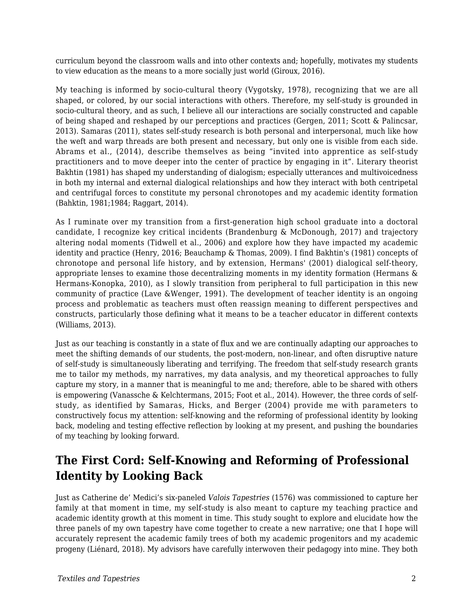curriculum beyond the classroom walls and into other contexts and; hopefully, motivates my students to view education as the means to a more socially just world (Giroux, 2016).

My teaching is informed by socio-cultural theory (Vygotsky, 1978), recognizing that we are all shaped, or colored, by our social interactions with others. Therefore, my self-study is grounded in socio-cultural theory, and as such, I believe all our interactions are socially constructed and capable of being shaped and reshaped by our perceptions and practices (Gergen, 2011; Scott & Palincsar, 2013). Samaras (2011), states self-study research is both personal and interpersonal, much like how the weft and warp threads are both present and necessary, but only one is visible from each side. Abrams et al., (2014), describe themselves as being "invited into apprentice as self-study practitioners and to move deeper into the center of practice by engaging in it". Literary theorist Bakhtin (1981) has shaped my understanding of dialogism; especially utterances and multivoicedness in both my internal and external dialogical relationships and how they interact with both centripetal and centrifugal forces to constitute my personal chronotopes and my academic identity formation (Bahktin, 1981;1984; Raggart, 2014).

As I ruminate over my transition from a first-generation high school graduate into a doctoral candidate, I recognize key critical incidents (Brandenburg & McDonough, 2017) and trajectory altering nodal moments (Tidwell et al., 2006) and explore how they have impacted my academic identity and practice (Henry, 2016; Beauchamp & Thomas, 2009). I find Bakhtin's (1981) concepts of chronotope and personal life history, and by extension, Hermans' (2001) dialogical self-theory, appropriate lenses to examine those decentralizing moments in my identity formation (Hermans & Hermans-Konopka, 2010), as I slowly transition from peripheral to full participation in this new community of practice (Lave &Wenger, 1991). The development of teacher identity is an ongoing process and problematic as teachers must often reassign meaning to different perspectives and constructs, particularly those defining what it means to be a teacher educator in different contexts (Williams, 2013).

Just as our teaching is constantly in a state of flux and we are continually adapting our approaches to meet the shifting demands of our students, the post-modern, non-linear, and often disruptive nature of self-study is simultaneously liberating and terrifying. The freedom that self-study research grants me to tailor my methods, my narratives, my data analysis, and my theoretical approaches to fully capture my story, in a manner that is meaningful to me and; therefore, able to be shared with others is empowering (Vanassche & Kelchtermans, 2015; Foot et al., 2014). However, the three cords of selfstudy, as identified by Samaras, Hicks, and Berger (2004) provide me with parameters to constructively focus my attention: self-knowing and the reforming of professional identity by looking back, modeling and testing effective reflection by looking at my present, and pushing the boundaries of my teaching by looking forward.

# **The First Cord: Self-Knowing and Reforming of Professional Identity by Looking Back**

Just as Catherine de' Medici's six-paneled *Valois Tapestries* (1576) was commissioned to capture her family at that moment in time, my self-study is also meant to capture my teaching practice and academic identity growth at this moment in time. This study sought to explore and elucidate how the three panels of my own tapestry have come together to create a new narrative; one that I hope will accurately represent the academic family trees of both my academic progenitors and my academic progeny (Liénard, 2018). My advisors have carefully interwoven their pedagogy into mine. They both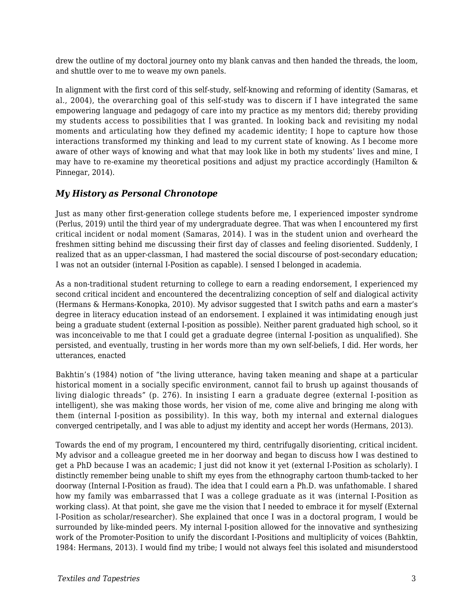drew the outline of my doctoral journey onto my blank canvas and then handed the threads, the loom, and shuttle over to me to weave my own panels.

In alignment with the first cord of this self-study, self-knowing and reforming of identity (Samaras, et al., 2004), the overarching goal of this self-study was to discern if I have integrated the same empowering language and pedagogy of care into my practice as my mentors did; thereby providing my students access to possibilities that I was granted. In looking back and revisiting my nodal moments and articulating how they defined my academic identity; I hope to capture how those interactions transformed my thinking and lead to my current state of knowing. As I become more aware of other ways of knowing and what that may look like in both my students' lives and mine, I may have to re-examine my theoretical positions and adjust my practice accordingly (Hamilton & Pinnegar, 2014).

#### *My History as Personal Chronotope*

Just as many other first-generation college students before me, I experienced imposter syndrome (Perlus, 2019) until the third year of my undergraduate degree. That was when I encountered my first critical incident or nodal moment (Samaras, 2014). I was in the student union and overheard the freshmen sitting behind me discussing their first day of classes and feeling disoriented. Suddenly, I realized that as an upper-classman, I had mastered the social discourse of post-secondary education; I was not an outsider (internal I-Position as capable). I sensed I belonged in academia.

As a non-traditional student returning to college to earn a reading endorsement, I experienced my second critical incident and encountered the decentralizing conception of self and dialogical activity (Hermans & Hermans-Konopka, 2010). My advisor suggested that I switch paths and earn a master's degree in literacy education instead of an endorsement. I explained it was intimidating enough just being a graduate student (external I-position as possible). Neither parent graduated high school, so it was inconceivable to me that I could get a graduate degree (internal I-position as unqualified). She persisted, and eventually, trusting in her words more than my own self-beliefs, I did. Her words, her utterances, enacted

Bakhtin's (1984) notion of "the living utterance, having taken meaning and shape at a particular historical moment in a socially specific environment, cannot fail to brush up against thousands of living dialogic threads" (p. 276). In insisting I earn a graduate degree (external I-position as intelligent), she was making those words, her vision of me, come alive and bringing me along with them (internal I-position as possibility). In this way, both my internal and external dialogues converged centripetally, and I was able to adjust my identity and accept her words (Hermans, 2013).

Towards the end of my program, I encountered my third, centrifugally disorienting, critical incident. My advisor and a colleague greeted me in her doorway and began to discuss how I was destined to get a PhD because I was an academic; I just did not know it yet (external I-Position as scholarly). I distinctly remember being unable to shift my eyes from the ethnography cartoon thumb-tacked to her doorway (Internal I-Position as fraud). The idea that I could earn a Ph.D. was unfathomable. I shared how my family was embarrassed that I was a college graduate as it was (internal I-Position as working class). At that point, she gave me the vision that I needed to embrace it for myself (External I-Position as scholar/researcher). She explained that once I was in a doctoral program, I would be surrounded by like-minded peers. My internal I-position allowed for the innovative and synthesizing work of the Promoter-Position to unify the discordant I-Positions and multiplicity of voices (Bahktin, 1984: Hermans, 2013). I would find my tribe; I would not always feel this isolated and misunderstood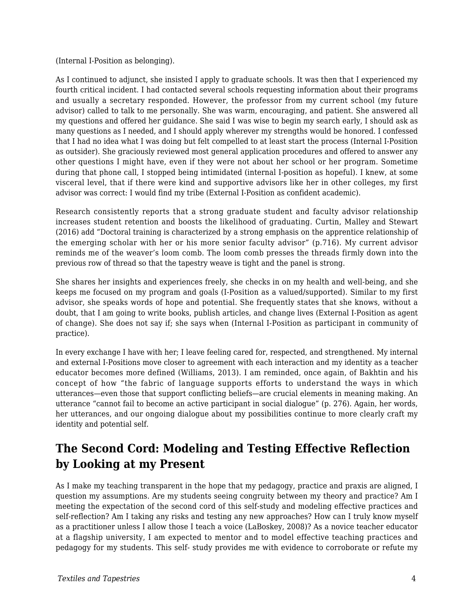(Internal I-Position as belonging).

As I continued to adjunct, she insisted I apply to graduate schools. It was then that I experienced my fourth critical incident. I had contacted several schools requesting information about their programs and usually a secretary responded. However, the professor from my current school (my future advisor) called to talk to me personally. She was warm, encouraging, and patient. She answered all my questions and offered her guidance. She said I was wise to begin my search early, I should ask as many questions as I needed, and I should apply wherever my strengths would be honored. I confessed that I had no idea what I was doing but felt compelled to at least start the process (Internal I-Position as outsider). She graciously reviewed most general application procedures and offered to answer any other questions I might have, even if they were not about her school or her program. Sometime during that phone call, I stopped being intimidated (internal I-position as hopeful). I knew, at some visceral level, that if there were kind and supportive advisors like her in other colleges, my first advisor was correct: I would find my tribe (External I-Position as confident academic).

Research consistently reports that a strong graduate student and faculty advisor relationship increases student retention and boosts the likelihood of graduating. Curtin, Malley and Stewart (2016) add "Doctoral training is characterized by a strong emphasis on the apprentice relationship of the emerging scholar with her or his more senior faculty advisor" (p.716). My current advisor reminds me of the weaver's loom comb. The loom comb presses the threads firmly down into the previous row of thread so that the tapestry weave is tight and the panel is strong.

She shares her insights and experiences freely, she checks in on my health and well-being, and she keeps me focused on my program and goals (I-Position as a valued/supported). Similar to my first advisor, she speaks words of hope and potential. She frequently states that she knows, without a doubt, that I am going to write books, publish articles, and change lives (External I-Position as agent of change). She does not say if; she says when (Internal I-Position as participant in community of practice).

In every exchange I have with her; I leave feeling cared for, respected, and strengthened. My internal and external I-Positions move closer to agreement with each interaction and my identity as a teacher educator becomes more defined (Williams, 2013). I am reminded, once again, of Bakhtin and his concept of how "the fabric of language supports efforts to understand the ways in which utterances—even those that support conflicting beliefs—are crucial elements in meaning making. An utterance "cannot fail to become an active participant in social dialogue" (p. 276). Again, her words, her utterances, and our ongoing dialogue about my possibilities continue to more clearly craft my identity and potential self.

# **The Second Cord: Modeling and Testing Effective Reflection by Looking at my Present**

As I make my teaching transparent in the hope that my pedagogy, practice and praxis are aligned, I question my assumptions. Are my students seeing congruity between my theory and practice? Am I meeting the expectation of the second cord of this self-study and modeling effective practices and self-reflection? Am I taking any risks and testing any new approaches? How can I truly know myself as a practitioner unless I allow those I teach a voice (LaBoskey, 2008)? As a novice teacher educator at a flagship university, I am expected to mentor and to model effective teaching practices and pedagogy for my students. This self- study provides me with evidence to corroborate or refute my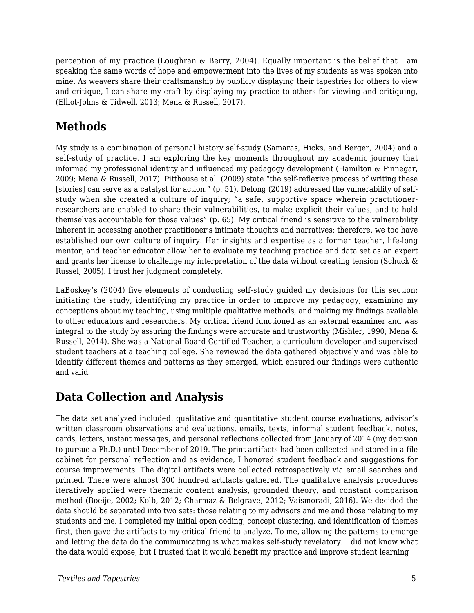perception of my practice (Loughran & Berry, 2004). Equally important is the belief that I am speaking the same words of hope and empowerment into the lives of my students as was spoken into mine. As weavers share their craftsmanship by publicly displaying their tapestries for others to view and critique, I can share my craft by displaying my practice to others for viewing and critiquing, (Elliot-Johns & Tidwell, 2013; Mena & Russell, 2017).

# **Methods**

My study is a combination of personal history self-study (Samaras, Hicks, and Berger, 2004) and a self-study of practice. I am exploring the key moments throughout my academic journey that informed my professional identity and influenced my pedagogy development (Hamilton & Pinnegar, 2009; Mena & Russell, 2017). Pitthouse et al. (2009) state "the self-reflexive process of writing these [stories] can serve as a catalyst for action." (p. 51). Delong (2019) addressed the vulnerability of selfstudy when she created a culture of inquiry; "a safe, supportive space wherein practitionerresearchers are enabled to share their vulnerabilities, to make explicit their values, and to hold themselves accountable for those values" (p. 65). My critical friend is sensitive to the vulnerability inherent in accessing another practitioner's intimate thoughts and narratives; therefore, we too have established our own culture of inquiry. Her insights and expertise as a former teacher, life-long mentor, and teacher educator allow her to evaluate my teaching practice and data set as an expert and grants her license to challenge my interpretation of the data without creating tension (Schuck & Russel, 2005). I trust her judgment completely.

LaBoskey's (2004) five elements of conducting self-study guided my decisions for this section: initiating the study, identifying my practice in order to improve my pedagogy, examining my conceptions about my teaching, using multiple qualitative methods, and making my findings available to other educators and researchers. My critical friend functioned as an external examiner and was integral to the study by assuring the findings were accurate and trustworthy (Mishler, 1990; Mena & Russell, 2014). She was a National Board Certified Teacher, a curriculum developer and supervised student teachers at a teaching college. She reviewed the data gathered objectively and was able to identify different themes and patterns as they emerged, which ensured our findings were authentic and valid.

# **Data Collection and Analysis**

The data set analyzed included: qualitative and quantitative student course evaluations, advisor's written classroom observations and evaluations, emails, texts, informal student feedback, notes, cards, letters, instant messages, and personal reflections collected from January of 2014 (my decision to pursue a Ph.D.) until December of 2019. The print artifacts had been collected and stored in a file cabinet for personal reflection and as evidence, I honored student feedback and suggestions for course improvements. The digital artifacts were collected retrospectively via email searches and printed. There were almost 300 hundred artifacts gathered. The qualitative analysis procedures iteratively applied were thematic content analysis, grounded theory, and constant comparison method (Boeije, 2002; Kolb, 2012; Charmaz & Belgrave, 2012; Vaismoradi, 2016). We decided the data should be separated into two sets: those relating to my advisors and me and those relating to my students and me. I completed my initial open coding, concept clustering, and identification of themes first, then gave the artifacts to my critical friend to analyze. To me, allowing the patterns to emerge and letting the data do the communicating is what makes self-study revelatory. I did not know what the data would expose, but I trusted that it would benefit my practice and improve student learning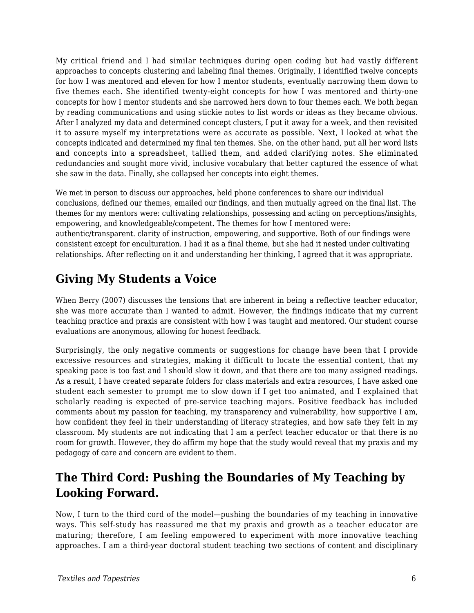My critical friend and I had similar techniques during open coding but had vastly different approaches to concepts clustering and labeling final themes. Originally, I identified twelve concepts for how I was mentored and eleven for how I mentor students, eventually narrowing them down to five themes each. She identified twenty-eight concepts for how I was mentored and thirty-one concepts for how I mentor students and she narrowed hers down to four themes each. We both began by reading communications and using stickie notes to list words or ideas as they became obvious. After I analyzed my data and determined concept clusters, I put it away for a week, and then revisited it to assure myself my interpretations were as accurate as possible. Next, I looked at what the concepts indicated and determined my final ten themes. She, on the other hand, put all her word lists and concepts into a spreadsheet, tallied them, and added clarifying notes. She eliminated redundancies and sought more vivid, inclusive vocabulary that better captured the essence of what she saw in the data. Finally, she collapsed her concepts into eight themes.

We met in person to discuss our approaches, held phone conferences to share our individual conclusions, defined our themes, emailed our findings, and then mutually agreed on the final list. The themes for my mentors were: cultivating relationships, possessing and acting on perceptions/insights, empowering, and knowledgeable/competent. The themes for how I mentored were: authentic/transparent. clarity of instruction, empowering, and supportive. Both of our findings were consistent except for enculturation. I had it as a final theme, but she had it nested under cultivating relationships. After reflecting on it and understanding her thinking, I agreed that it was appropriate.

# **Giving My Students a Voice**

When Berry (2007) discusses the tensions that are inherent in being a reflective teacher educator, she was more accurate than I wanted to admit. However, the findings indicate that my current teaching practice and praxis are consistent with how I was taught and mentored. Our student course evaluations are anonymous, allowing for honest feedback.

Surprisingly, the only negative comments or suggestions for change have been that I provide excessive resources and strategies, making it difficult to locate the essential content, that my speaking pace is too fast and I should slow it down, and that there are too many assigned readings. As a result, I have created separate folders for class materials and extra resources, I have asked one student each semester to prompt me to slow down if I get too animated, and I explained that scholarly reading is expected of pre-service teaching majors. Positive feedback has included comments about my passion for teaching, my transparency and vulnerability, how supportive I am, how confident they feel in their understanding of literacy strategies, and how safe they felt in my classroom. My students are not indicating that I am a perfect teacher educator or that there is no room for growth. However, they do affirm my hope that the study would reveal that my praxis and my pedagogy of care and concern are evident to them.

# **The Third Cord: Pushing the Boundaries of My Teaching by Looking Forward.**

Now, I turn to the third cord of the model—pushing the boundaries of my teaching in innovative ways. This self-study has reassured me that my praxis and growth as a teacher educator are maturing; therefore, I am feeling empowered to experiment with more innovative teaching approaches. I am a third-year doctoral student teaching two sections of content and disciplinary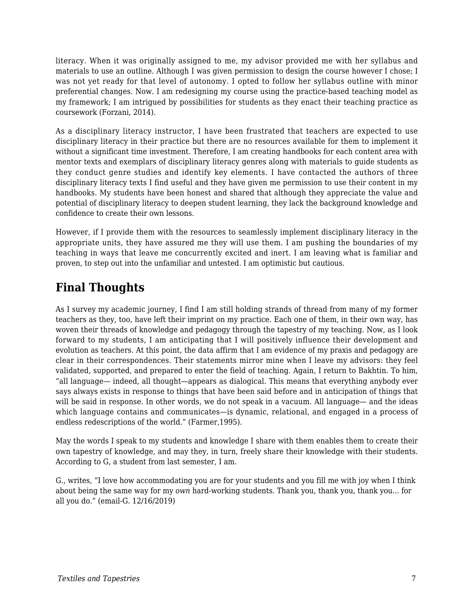literacy. When it was originally assigned to me, my advisor provided me with her syllabus and materials to use an outline. Although I was given permission to design the course however I chose; I was not yet ready for that level of autonomy. I opted to follow her syllabus outline with minor preferential changes. Now. I am redesigning my course using the practice-based teaching model as my framework; I am intrigued by possibilities for students as they enact their teaching practice as coursework (Forzani, 2014).

As a disciplinary literacy instructor, I have been frustrated that teachers are expected to use disciplinary literacy in their practice but there are no resources available for them to implement it without a significant time investment. Therefore, I am creating handbooks for each content area with mentor texts and exemplars of disciplinary literacy genres along with materials to guide students as they conduct genre studies and identify key elements. I have contacted the authors of three disciplinary literacy texts I find useful and they have given me permission to use their content in my handbooks. My students have been honest and shared that although they appreciate the value and potential of disciplinary literacy to deepen student learning, they lack the background knowledge and confidence to create their own lessons.

However, if I provide them with the resources to seamlessly implement disciplinary literacy in the appropriate units, they have assured me they will use them. I am pushing the boundaries of my teaching in ways that leave me concurrently excited and inert. I am leaving what is familiar and proven, to step out into the unfamiliar and untested. I am optimistic but cautious.

# **Final Thoughts**

As I survey my academic journey, I find I am still holding strands of thread from many of my former teachers as they, too, have left their imprint on my practice. Each one of them, in their own way, has woven their threads of knowledge and pedagogy through the tapestry of my teaching. Now, as I look forward to my students, I am anticipating that I will positively influence their development and evolution as teachers. At this point, the data affirm that I am evidence of my praxis and pedagogy are clear in their correspondences. Their statements mirror mine when I leave my advisors: they feel validated, supported, and prepared to enter the field of teaching. Again, I return to Bakhtin. To him, "all language— indeed, all thought—appears as dialogical. This means that everything anybody ever says always exists in response to things that have been said before and in anticipation of things that will be said in response. In other words, we do not speak in a vacuum. All language— and the ideas which language contains and communicates—is dynamic, relational, and engaged in a process of endless redescriptions of the world." (Farmer,1995).

May the words I speak to my students and knowledge I share with them enables them to create their own tapestry of knowledge, and may they, in turn, freely share their knowledge with their students. According to G, a student from last semester, I am.

G., writes, "I love how accommodating you are for your students and you fill me with joy when I think about being the same way for my *own* hard-working students. Thank you, thank you, thank you... for all you do." (email-G. 12/16/2019)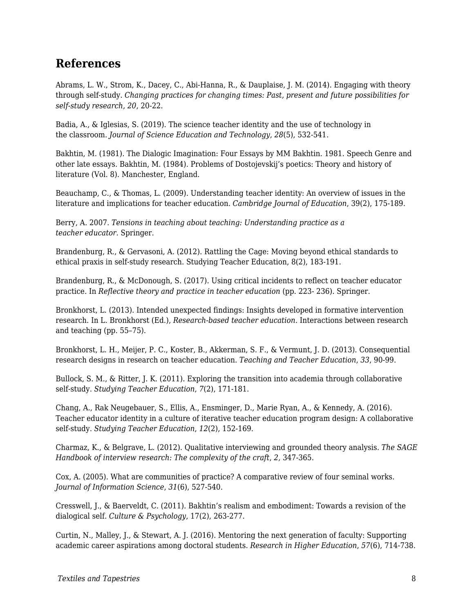#### **References**

Abrams, L. W., Strom, K., Dacey, C., Abi-Hanna, R., & Dauplaise, J. M. (2014). Engaging with theory through self-study. *Changing practices for changing times: Past, present and future possibilities for self-study research*, *20*, 20-22.

Badia, A., & Iglesias, S. (2019). The science teacher identity and the use of technology in the classroom. *Journal of Science Education and Technology*, *28*(5), 532-541.

Bakhtin, M. (1981). The Dialogic Imagination: Four Essays by MM Bakhtin. 1981. Speech Genre and other late essays. Bakhtin, M. (1984). Problems of Dostojevskij's poetics: Theory and history of literature (Vol. 8). Manchester, England.

Beauchamp, C., & Thomas, L. (2009). Understanding teacher identity: An overview of issues in the literature and implications for teacher education. *Cambridge Journal of Education*, 39(2), 175-189.

Berry, A. 2007. *Tensions in teaching about teaching: Understanding practice as a teacher educator.* Springer.

Brandenburg, R., & Gervasoni, A. (2012). Rattling the Cage: Moving beyond ethical standards to ethical praxis in self-study research. Studying Teacher Education, 8(2), 183-191.

Brandenburg, R., & McDonough, S. (2017). Using critical incidents to reflect on teacher educator practice. In *Reflective theory and practice in teacher education* (pp. 223- 236). Springer.

Bronkhorst, L. (2013). Intended unexpected findings: Insights developed in formative intervention research. In L. Bronkhorst (Ed.), *Research-based teacher education*. Interactions between research and teaching (pp. 55–75).

Bronkhorst, L. H., Meijer, P. C., Koster, B., Akkerman, S. F., & Vermunt, J. D. (2013). Consequential research designs in research on teacher education. *Teaching and Teacher Education*, *33*, 90-99.

Bullock, S. M., & Ritter, J. K. (2011). Exploring the transition into academia through collaborative self-study. *Studying Teacher Education*, *7*(2), 171-181.

Chang, A., Rak Neugebauer, S., Ellis, A., Ensminger, D., Marie Ryan, A., & Kennedy, A. (2016). Teacher educator identity in a culture of iterative teacher education program design: A collaborative self-study. *Studying Teacher Education*, *12*(2), 152-169.

Charmaz, K., & Belgrave, L. (2012). Qualitative interviewing and grounded theory analysis. *The SAGE Handbook of interview research: The complexity of the craft, 2, 347-365.* 

Cox, A. (2005). What are communities of practice? A comparative review of four seminal works. *Journal of Information Science*, *31*(6), 527-540.

Cresswell, J., & Baerveldt, C. (2011). Bakhtin's realism and embodiment: Towards a revision of the dialogical self. *Culture & Psychology*, 17(2), 263-277.

Curtin, N., Malley, J., & Stewart, A. J. (2016). Mentoring the next generation of faculty: Supporting academic career aspirations among doctoral students. *Research in Higher Education*, *57*(6), 714-738.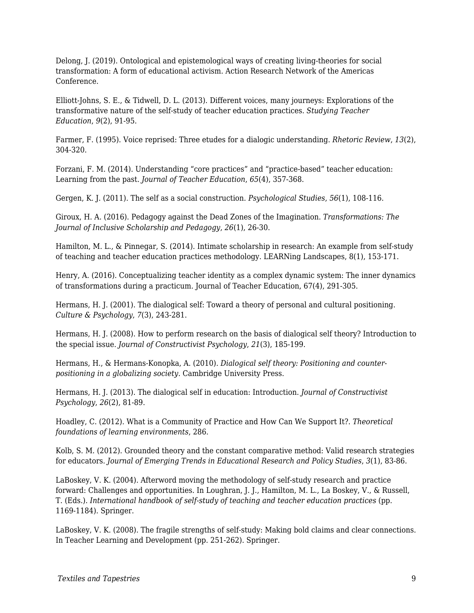Delong, J. (2019). Ontological and epistemological ways of creating living-theories for social transformation: A form of educational activism. Action Research Network of the Americas Conference.

Elliott-Johns, S. E., & Tidwell, D. L. (2013). Different voices, many journeys: Explorations of the transformative nature of the self-study of teacher education practices. *Studying Teacher Education*, *9*(2), 91-95.

Farmer, F. (1995). Voice reprised: Three etudes for a dialogic understanding. *Rhetoric Review*, *13*(2), 304-320.

Forzani, F. M. (2014). Understanding "core practices" and "practice-based" teacher education: Learning from the past. *Journal of Teacher Education*, *65*(4), 357-368.

Gergen, K. J. (2011). The self as a social construction. *Psychological Studies*, *56*(1), 108-116.

Giroux, H. A. (2016). Pedagogy against the Dead Zones of the Imagination. *Transformations: The Journal of Inclusive Scholarship and Pedagogy*, *26*(1), 26-30.

Hamilton, M. L., & Pinnegar, S. (2014). Intimate scholarship in research: An example from self-study of teaching and teacher education practices methodology. LEARNing Landscapes, 8(1), 153-171.

Henry, A. (2016). Conceptualizing teacher identity as a complex dynamic system: The inner dynamics of transformations during a practicum. Journal of Teacher Education, 67(4), 291-305.

Hermans, H. J. (2001). The dialogical self: Toward a theory of personal and cultural positioning. *Culture & Psychology*, *7*(3), 243-281.

Hermans, H. J. (2008). How to perform research on the basis of dialogical self theory? Introduction to the special issue. *Journal of Constructivist Psychology*, *21*(3), 185-199.

Hermans, H., & Hermans-Konopka, A. (2010). *Dialogical self theory: Positioning and counterpositioning in a globalizing society*. Cambridge University Press.

Hermans, H. J. (2013). The dialogical self in education: Introduction. *Journal of Constructivist Psychology*, *26*(2), 81-89.

Hoadley, C. (2012). What is a Community of Practice and How Can We Support It?. *Theoretical foundations of learning environments*, 286.

Kolb, S. M. (2012). Grounded theory and the constant comparative method: Valid research strategies for educators. *Journal of Emerging Trends in Educational Research and Policy Studies*, *3*(1), 83-86.

LaBoskey, V. K. (2004). Afterword moving the methodology of self-study research and practice forward: Challenges and opportunities. In Loughran, J. J., Hamilton, M. L., La Boskey, V., & Russell, T. (Eds.). *International handbook of self-study of teaching and teacher education practices* (pp. 1169-1184). Springer.

LaBoskey, V. K. (2008). The fragile strengths of self-study: Making bold claims and clear connections. In Teacher Learning and Development (pp. 251-262). Springer.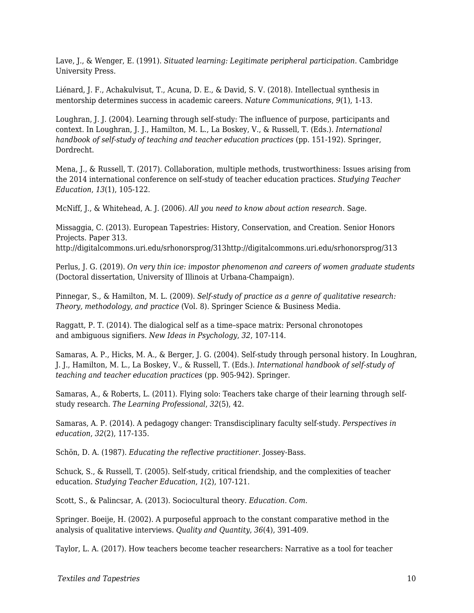Lave, J., & Wenger, E. (1991). *Situated learning: Legitimate peripheral participation*. Cambridge University Press.

Liénard, J. F., Achakulvisut, T., Acuna, D. E., & David, S. V. (2018). Intellectual synthesis in mentorship determines success in academic careers. *Nature Communications*, *9*(1), 1-13.

Loughran, J. J. (2004). Learning through self-study: The influence of purpose, participants and context. In Loughran, J. J., Hamilton, M. L., La Boskey, V., & Russell, T. (Eds.). *International handbook of self-study of teaching and teacher education practices (pp. 151-192). Springer,* Dordrecht.

Mena, J., & Russell, T. (2017). Collaboration, multiple methods, trustworthiness: Issues arising from the 2014 international conference on self-study of teacher education practices. *Studying Teacher Education*, *13*(1), 105-122.

McNiff, J., & Whitehead, A. J. (2006). *All you need to know about action research*. Sage.

Missaggia, C. (2013). European Tapestries: History, Conservation, and Creation. Senior Honors Projects. Paper 313.

http://digitalcommons.uri.edu/srhonorsprog/313http://digitalcommons.uri.edu/srhonorsprog/313

Perlus, J. G. (2019). *On very thin ice: impostor phenomenon and careers of women graduate students* (Doctoral dissertation, University of Illinois at Urbana-Champaign).

Pinnegar, S., & Hamilton, M. L. (2009). *Self-study of practice as a genre of qualitative research: Theory, methodology, and practice* (Vol. 8). Springer Science & Business Media.

Raggatt, P. T. (2014). The dialogical self as a time–space matrix: Personal chronotopes and ambiguous signifiers. *New Ideas in Psychology*, *32*, 107-114.

Samaras, A. P., Hicks, M. A., & Berger, J. G. (2004). Self-study through personal history. In Loughran, J. J., Hamilton, M. L., La Boskey, V., & Russell, T. (Eds.). *International handbook of self-study of teaching and teacher education practices* (pp. 905-942). Springer.

Samaras, A., & Roberts, L. (2011). Flying solo: Teachers take charge of their learning through selfstudy research. *The Learning Professional*, *32*(5), 42.

Samaras, A. P. (2014). A pedagogy changer: Transdisciplinary faculty self-study. *Perspectives in education*, *32*(2), 117-135.

Schön, D. A. (1987). *Educating the reflective practitioner*. Jossey-Bass.

Schuck, S., & Russell, T. (2005). Self-study, critical friendship, and the complexities of teacher education. *Studying Teacher Education*, *1*(2), 107-121.

Scott, S., & Palincsar, A. (2013). Sociocultural theory. *Education. Com*.

Springer. Boeije, H. (2002). A purposeful approach to the constant comparative method in the analysis of qualitative interviews. *Quality and Quantity*, *36*(4), 391-409.

Taylor, L. A. (2017). How teachers become teacher researchers: Narrative as a tool for teacher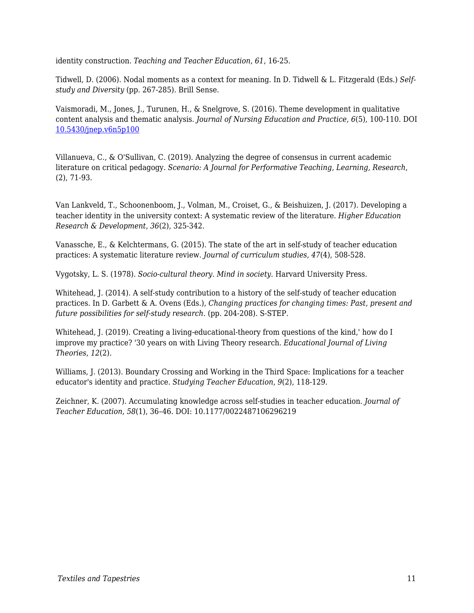identity construction. *Teaching and Teacher Education*, *61*, 16-25.

Tidwell, D. (2006). Nodal moments as a context for meaning. In D. Tidwell & L. Fitzgerald (Eds.) *Selfstudy and Diversity* (pp. 267-285). Brill Sense.

Vaismoradi, M., Jones, J., Turunen, H., & Snelgrove, S. (2016). Theme development in qualitative content analysis and thematic analysis. *Journal of Nursing Education and Practice, 6*(5), 100-110. DOI [10.5430/jnep.v6n5p100](https://www.researchgate.net/deref/http%3A%2F%2Fdx.doi.org%2F10.5430%2Fjnep.v6n5p100?_sg%5B0%5D=uaAA7G4oHcNIrvjw9lCY53DtRjDWIruJRMlP8mjuuPhu5M1bm-37vG-D7DIYCL1LJxmOcelcDofXlKHwMSaVnrFv8A.m7EbA48_D8ID3wYAANYA9akiJj848qGHXlIv3HGAHSegSHCHchcgpRwL3_HxoFpESrFBBFpzcaHh8xWVFUSKgw)

Villanueva, C., & O'Sullivan, C. (2019). Analyzing the degree of consensus in current academic literature on critical pedagogy. *Scenario: A Journal for Performative Teaching, Learning, Research*, (2), 71-93.

Van Lankveld, T., Schoonenboom, J., Volman, M., Croiset, G., & Beishuizen, J. (2017). Developing a teacher identity in the university context: A systematic review of the literature. *Higher Education Research & Development*, *36*(2), 325-342.

Vanassche, E., & Kelchtermans, G. (2015). The state of the art in self-study of teacher education practices: A systematic literature review. *Journal of curriculum studies*, *47*(4), 508-528.

Vygotsky, L. S. (1978). *Socio-cultural theory. Mind in society*. Harvard University Press.

Whitehead, J. (2014). A self-study contribution to a history of the self-study of teacher education practices. In D. Garbett & A. Ovens (Eds.), *Changing practices for changing times: Past, present and future possibilities for self-study research.* (pp. 204-208). S-STEP.

Whitehead, J. (2019). Creating a living-educational-theory from questions of the kind, how do I improve my practice? '30 years on with Living Theory research. *Educational Journal of Living Theories*, *12*(2).

Williams, J. (2013). Boundary Crossing and Working in the Third Space: Implications for a teacher educator's identity and practice. *Studying Teacher Education*, *9*(2), 118-129.

Zeichner, K. (2007). Accumulating knowledge across self-studies in teacher education. *Journal of Teacher Education*, *58*(1), 36–46. DOI: 10.1177/0022487106296219